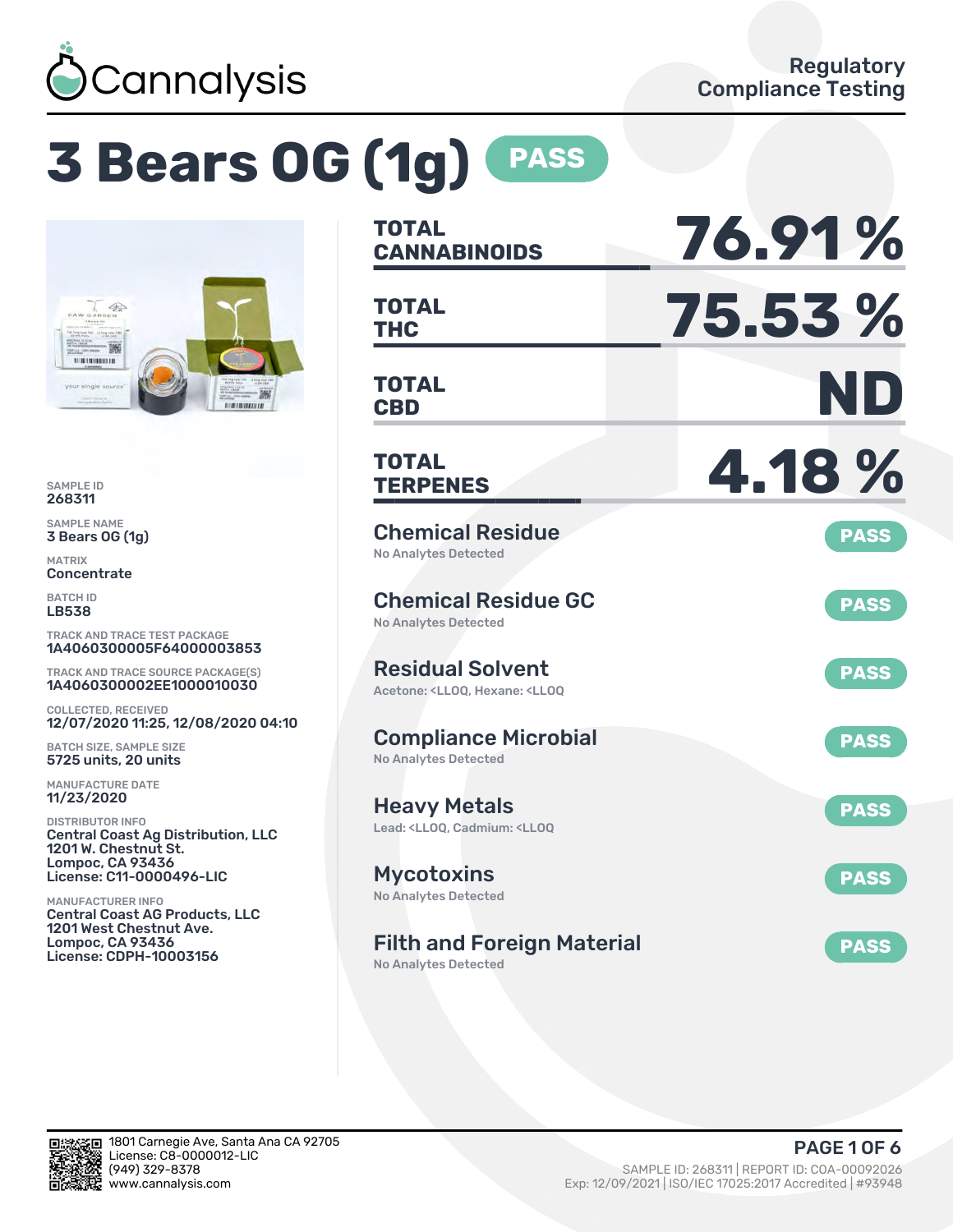

# **3 Bears OG (1g) PASS**



SAMPLE ID 268311

SAMPLE NAME 3 Bears OG (1g)

MATRIX **Concentrate** 

BATCH ID LB538

TRACK AND TRACE TEST PACKAGE 1A4060300005F64000003853

TRACK AND TRACE SOURCE PACKAGE(S) 1A4060300002EE1000010030

COLLECTED, RECEIVED 12/07/2020 11:25, 12/08/2020 04:10

BATCH SIZE, SAMPLE SIZE 5725 units, 20 units

MANUFACTURE DATE 11/23/2020

DISTRIBUTOR INFO Central Coast Ag Distribution, LLC 1201 W. Chestnut St. Lompoc, CA 93436 License: C11-0000496-LIC

MANUFACTURER INFO Central Coast AG Products, LLC 1201 West Chestnut Ave. Lompoc, CA 93436 License: CDPH-10003156

| <b>TOTAL</b><br><b>CANNABINOIDS</b>                                                                | 76.91%      |
|----------------------------------------------------------------------------------------------------|-------------|
| <b>TOTAL</b><br><b>THC</b>                                                                         | 75.53 %     |
| <b>TOTAL</b><br><b>CBD</b>                                                                         | ND          |
| TOTAL<br><b>TERPENES</b>                                                                           | 4.18%       |
| <b>Chemical Residue</b><br><b>No Analytes Detected</b>                                             | <b>PASS</b> |
| <b>Chemical Residue GC</b><br><b>No Analytes Detected</b>                                          | <b>PASS</b> |
| <b>Residual Solvent</b><br>Acetone: <ll00. <ll00<="" hexane:="" td=""><td><b>PASS</b></td></ll00.> | <b>PASS</b> |
| <b>Compliance Microbial</b><br><b>No Analytes Detected</b>                                         | <b>PASS</b> |
| <b>Heavy Metals</b><br>Lead: <ll00, <ll00<="" cadmium:="" td=""><td><b>PASS</b></td></ll00,>       | <b>PASS</b> |
| <b>Mycotoxins</b><br>No Analytes Detected                                                          | <b>PASS</b> |
| <b>Filth and Foreign Material</b>                                                                  | <b>PASS</b> |

No Analytes Detected

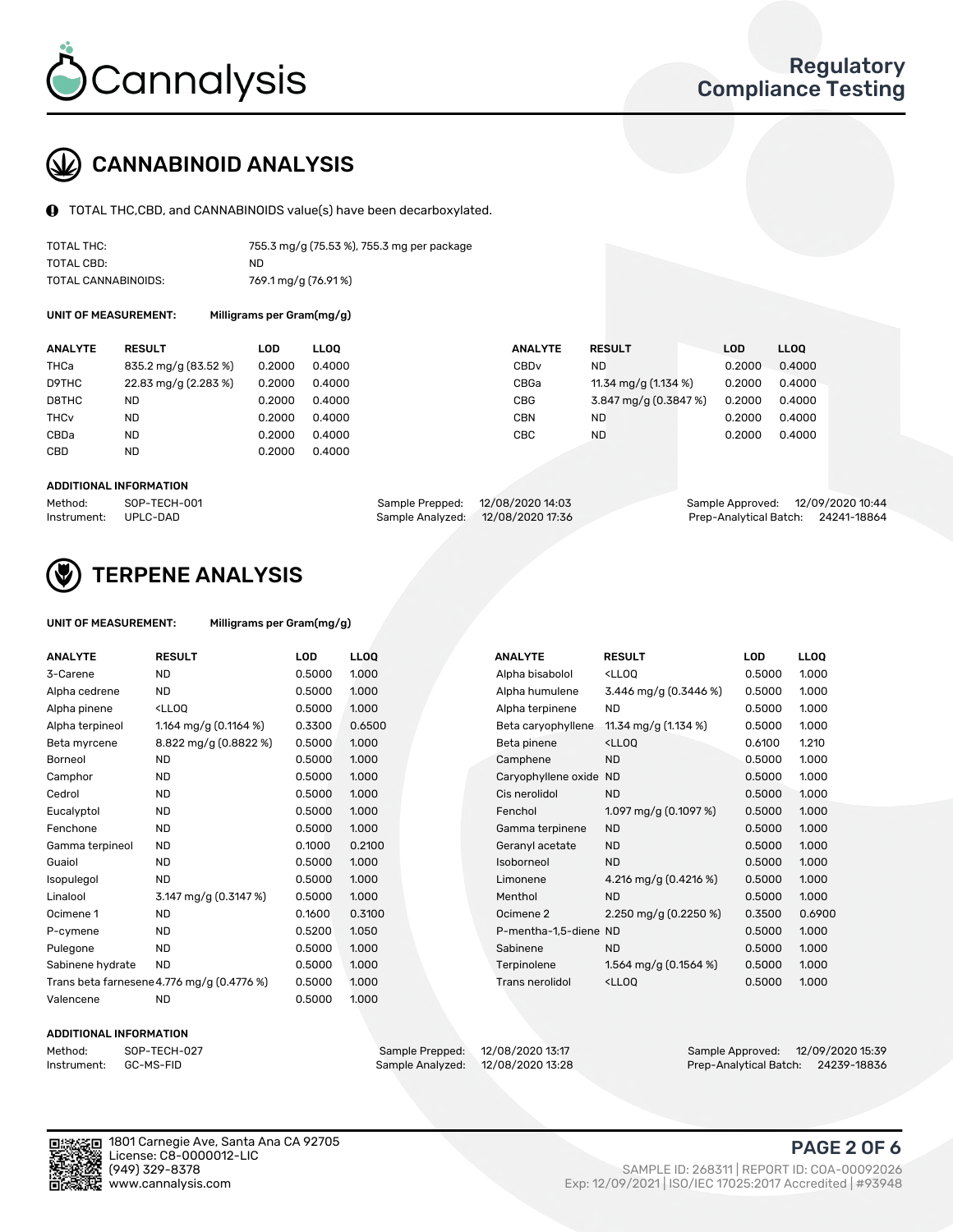

## CANNABINOID ANALYSIS

TOTAL THC,CBD, and CANNABINOIDS value(s) have been decarboxylated.

| TOTAL THC:          | 755.3 mg/g (75.53 %), 755.3 mg per package |
|---------------------|--------------------------------------------|
| TOTAL CBD:          | ND.                                        |
| TOTAL CANNABINOIDS: | 769.1 mg/g (76.91%)                        |

UNIT OF MEASUREMENT: Milligrams per Gram(mg/g)

| <b>ANALYTE</b>         | <b>RESULT</b>        | LOD    | <b>LLOO</b> | <b>ANALYTE</b>   | <b>RESULT</b>         | LOD    | <b>LLOO</b> |
|------------------------|----------------------|--------|-------------|------------------|-----------------------|--------|-------------|
| THCa                   | 835.2 mg/g (83.52 %) | 0.2000 | 0.4000      | CBD <sub>v</sub> | ND                    | 0.2000 | 0.4000      |
| D9THC                  | 22.83 mg/g (2.283 %) | 0.2000 | 0.4000      | CBGa             | 11.34 mg/g (1.134 %)  | 0.2000 | 0.4000      |
| D8THC                  | ND                   | 0.2000 | 0.4000      | <b>CBG</b>       | 3.847 mg/g (0.3847 %) | 0.2000 | 0.4000      |
| <b>THC<sub>v</sub></b> | <b>ND</b>            | 0.2000 | 0.4000      | <b>CBN</b>       | <b>ND</b>             | 0.2000 | 0.4000      |
| CBDa                   | <b>ND</b>            | 0.2000 | 0.4000      | CBC              | <b>ND</b>             | 0.2000 | 0.4000      |
| <b>CBD</b>             | <b>ND</b>            | 0.2000 | 0.4000      |                  |                       |        |             |

#### ADDITIONAL INFORMATION

| Method:              | SOP-TECH-001 | Sample Prepped: 12/08/2020 14:03  | Sample Approved: 12/09/2020 10:44  |  |
|----------------------|--------------|-----------------------------------|------------------------------------|--|
| Instrument: UPLC-DAD |              | Sample Analyzed: 12/08/2020 17:36 | Prep-Analytical Batch: 24241-18864 |  |



## TERPENE ANALYSIS

| UNIT OF MEASUREMENT: | Milligrams per Gram(mg/g) |
|----------------------|---------------------------|
|----------------------|---------------------------|

| <b>ANALYTE</b>   | <b>RESULT</b>                                                                                                             | <b>LOD</b> | <b>LLOQ</b> | <b>ANALYTE</b>         | <b>RESULT</b>                                      | <b>LOD</b> | <b>LLOQ</b> |
|------------------|---------------------------------------------------------------------------------------------------------------------------|------------|-------------|------------------------|----------------------------------------------------|------------|-------------|
| 3-Carene         | ND                                                                                                                        | 0.5000     | 1.000       | Alpha bisabolol        | <ll0q< td=""><td>0.5000</td><td>1.000</td></ll0q<> | 0.5000     | 1.000       |
| Alpha cedrene    | <b>ND</b>                                                                                                                 | 0.5000     | 1.000       | Alpha humulene         | 3.446 mg/g $(0.3446\%)$                            | 0.5000     | 1.000       |
| Alpha pinene     | <lloq< td=""><td>0.5000</td><td>1.000</td><td>Alpha terpinene</td><td><b>ND</b></td><td>0.5000</td><td>1.000</td></lloq<> | 0.5000     | 1.000       | Alpha terpinene        | <b>ND</b>                                          | 0.5000     | 1.000       |
| Alpha terpineol  | 1.164 mg/g $(0.1164\%)$                                                                                                   | 0.3300     | 0.6500      | Beta caryophyllene     | 11.34 mg/g (1.134 %)                               | 0.5000     | 1.000       |
| Beta myrcene     | 8.822 mg/g (0.8822 %)                                                                                                     | 0.5000     | 1.000       | Beta pinene            | <lloq< td=""><td>0.6100</td><td>1.210</td></lloq<> | 0.6100     | 1.210       |
| Borneol          | <b>ND</b>                                                                                                                 | 0.5000     | 1.000       | Camphene               | <b>ND</b>                                          | 0.5000     | 1.000       |
| Camphor          | <b>ND</b>                                                                                                                 | 0.5000     | 1.000       | Caryophyllene oxide ND |                                                    | 0.5000     | 1.000       |
| Cedrol           | <b>ND</b>                                                                                                                 | 0.5000     | 1.000       | Cis nerolidol          | <b>ND</b>                                          | 0.5000     | 1.000       |
| Eucalyptol       | <b>ND</b>                                                                                                                 | 0.5000     | 1.000       | Fenchol                | 1.097 mg/g $(0.1097%)$                             | 0.5000     | 1.000       |
| Fenchone         | <b>ND</b>                                                                                                                 | 0.5000     | 1.000       | Gamma terpinene        | <b>ND</b>                                          | 0.5000     | 1.000       |
| Gamma terpineol  | <b>ND</b>                                                                                                                 | 0.1000     | 0.2100      | Geranyl acetate        | <b>ND</b>                                          | 0.5000     | 1.000       |
| Guaiol           | <b>ND</b>                                                                                                                 | 0.5000     | 1.000       | Isoborneol             | <b>ND</b>                                          | 0.5000     | 1.000       |
| Isopulegol       | <b>ND</b>                                                                                                                 | 0.5000     | 1.000       | Limonene               | 4.216 mg/g (0.4216 %)                              | 0.5000     | 1.000       |
| Linalool         | 3.147 mg/g (0.3147 %)                                                                                                     | 0.5000     | 1.000       | Menthol                | <b>ND</b>                                          | 0.5000     | 1.000       |
| Ocimene 1        | <b>ND</b>                                                                                                                 | 0.1600     | 0.3100      | Ocimene 2              | 2.250 mg/g $(0.2250\%)$                            | 0.3500     | 0.6900      |
| P-cymene         | <b>ND</b>                                                                                                                 | 0.5200     | 1.050       | P-mentha-1,5-diene ND  |                                                    | 0.5000     | 1.000       |
| Pulegone         | <b>ND</b>                                                                                                                 | 0.5000     | 1.000       | Sabinene               | <b>ND</b>                                          | 0.5000     | 1.000       |
| Sabinene hydrate | <b>ND</b>                                                                                                                 | 0.5000     | 1.000       | Terpinolene            | 1.564 mg/g $(0.1564\%)$                            | 0.5000     | 1.000       |
|                  | Trans beta farnesene 4.776 mg/g (0.4776 %)                                                                                | 0.5000     | 1.000       | Trans nerolidol        | <lloq< td=""><td>0.5000</td><td>1.000</td></lloq<> | 0.5000     | 1.000       |
| Valencene        | <b>ND</b>                                                                                                                 | 0.5000     | 1.000       |                        |                                                    |            |             |

#### ADDITIONAL INFORMATION

| Method:     | SOP-TECH  |
|-------------|-----------|
| Instrument: | GC-MS-FII |

Method: SOP-TECH-027 Sample Prepped: 12/08/2020 13:17 Sample Approved: 12/09/2020 15:39 Prep-Analytical Batch: 24239-18836



1801 Carnegie Ave, Santa Ana CA 92705 License: C8-0000012-LIC<br>(949) 329-8378

#### PAGE 2 OF 6

(949) 329-8378 SAMPLE ID: 268311 | REPORT ID: COA-00092026 Exp: 12/09/2021 | ISO/IEC 17025:2017 Accredited | #93948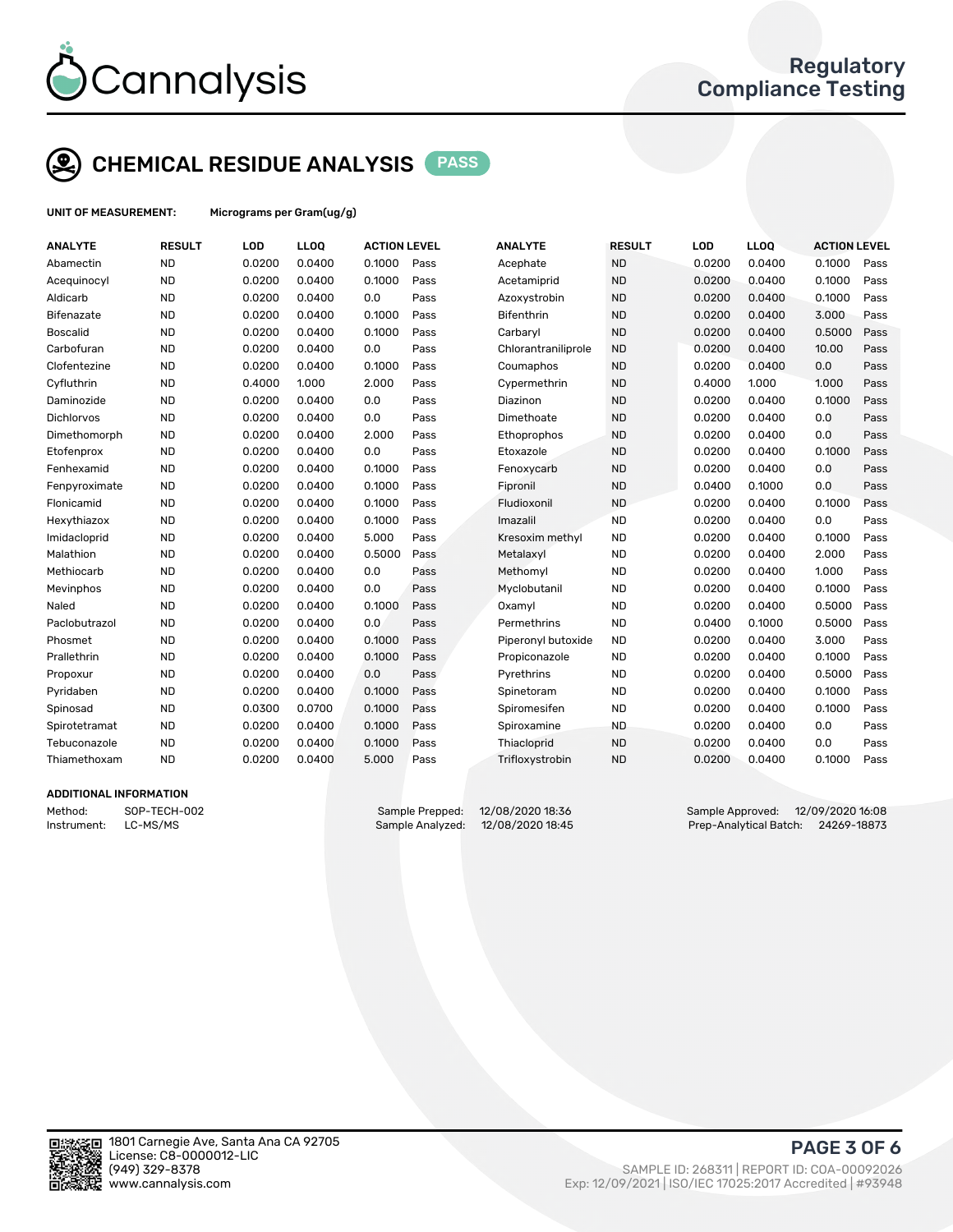

## CHEMICAL RESIDUE ANALYSIS PASS

UNIT OF MEASUREMENT: Micrograms per Gram(ug/g)

| <b>ANALYTE</b>    | <b>RESULT</b> | <b>LOD</b> | LL <sub>OO</sub> | <b>ACTION LEVEL</b> |      | <b>ANALYTE</b>      | <b>RESULT</b> | LOD    | <b>LLOQ</b> | <b>ACTION LEVEL</b> |      |
|-------------------|---------------|------------|------------------|---------------------|------|---------------------|---------------|--------|-------------|---------------------|------|
| Abamectin         | <b>ND</b>     | 0.0200     | 0.0400           | 0.1000              | Pass | Acephate            | <b>ND</b>     | 0.0200 | 0.0400      | 0.1000              | Pass |
| Acequinocyl       | <b>ND</b>     | 0.0200     | 0.0400           | 0.1000              | Pass | Acetamiprid         | <b>ND</b>     | 0.0200 | 0.0400      | 0.1000              | Pass |
| Aldicarb          | <b>ND</b>     | 0.0200     | 0.0400           | 0.0                 | Pass | Azoxystrobin        | <b>ND</b>     | 0.0200 | 0.0400      | 0.1000              | Pass |
| <b>Bifenazate</b> | <b>ND</b>     | 0.0200     | 0.0400           | 0.1000              | Pass | <b>Bifenthrin</b>   | <b>ND</b>     | 0.0200 | 0.0400      | 3.000               | Pass |
| <b>Boscalid</b>   | <b>ND</b>     | 0.0200     | 0.0400           | 0.1000              | Pass | Carbaryl            | <b>ND</b>     | 0.0200 | 0.0400      | 0.5000              | Pass |
| Carbofuran        | <b>ND</b>     | 0.0200     | 0.0400           | 0.0                 | Pass | Chlorantraniliprole | <b>ND</b>     | 0.0200 | 0.0400      | 10.00               | Pass |
| Clofentezine      | <b>ND</b>     | 0.0200     | 0.0400           | 0.1000              | Pass | Coumaphos           | <b>ND</b>     | 0.0200 | 0.0400      | 0.0                 | Pass |
| Cyfluthrin        | <b>ND</b>     | 0.4000     | 1.000            | 2.000               | Pass | Cypermethrin        | <b>ND</b>     | 0.4000 | 1.000       | 1.000               | Pass |
| Daminozide        | <b>ND</b>     | 0.0200     | 0.0400           | 0.0                 | Pass | Diazinon            | <b>ND</b>     | 0.0200 | 0.0400      | 0.1000              | Pass |
| Dichlorvos        | <b>ND</b>     | 0.0200     | 0.0400           | 0.0                 | Pass | Dimethoate          | <b>ND</b>     | 0.0200 | 0.0400      | 0.0                 | Pass |
| Dimethomorph      | <b>ND</b>     | 0.0200     | 0.0400           | 2.000               | Pass | Ethoprophos         | <b>ND</b>     | 0.0200 | 0.0400      | 0.0                 | Pass |
| Etofenprox        | <b>ND</b>     | 0.0200     | 0.0400           | 0.0                 | Pass | Etoxazole           | <b>ND</b>     | 0.0200 | 0.0400      | 0.1000              | Pass |
| Fenhexamid        | <b>ND</b>     | 0.0200     | 0.0400           | 0.1000              | Pass | Fenoxycarb          | <b>ND</b>     | 0.0200 | 0.0400      | 0.0                 | Pass |
| Fenpyroximate     | <b>ND</b>     | 0.0200     | 0.0400           | 0.1000              | Pass | Fipronil            | <b>ND</b>     | 0.0400 | 0.1000      | 0.0                 | Pass |
| Flonicamid        | <b>ND</b>     | 0.0200     | 0.0400           | 0.1000              | Pass | Fludioxonil         | <b>ND</b>     | 0.0200 | 0.0400      | 0.1000              | Pass |
| Hexythiazox       | <b>ND</b>     | 0.0200     | 0.0400           | 0.1000              | Pass | Imazalil            | <b>ND</b>     | 0.0200 | 0.0400      | 0.0                 | Pass |
| Imidacloprid      | <b>ND</b>     | 0.0200     | 0.0400           | 5.000               | Pass | Kresoxim methyl     | <b>ND</b>     | 0.0200 | 0.0400      | 0.1000              | Pass |
| Malathion         | <b>ND</b>     | 0.0200     | 0.0400           | 0.5000              | Pass | Metalaxyl           | <b>ND</b>     | 0.0200 | 0.0400      | 2.000               | Pass |
| Methiocarb        | <b>ND</b>     | 0.0200     | 0.0400           | 0.0                 | Pass | Methomyl            | <b>ND</b>     | 0.0200 | 0.0400      | 1.000               | Pass |
| Mevinphos         | <b>ND</b>     | 0.0200     | 0.0400           | 0.0                 | Pass | Myclobutanil        | <b>ND</b>     | 0.0200 | 0.0400      | 0.1000              | Pass |
| Naled             | <b>ND</b>     | 0.0200     | 0.0400           | 0.1000              | Pass | Oxamyl              | <b>ND</b>     | 0.0200 | 0.0400      | 0.5000              | Pass |
| Paclobutrazol     | <b>ND</b>     | 0.0200     | 0.0400           | 0.0                 | Pass | Permethrins         | <b>ND</b>     | 0.0400 | 0.1000      | 0.5000              | Pass |
| Phosmet           | <b>ND</b>     | 0.0200     | 0.0400           | 0.1000              | Pass | Piperonyl butoxide  | <b>ND</b>     | 0.0200 | 0.0400      | 3.000               | Pass |
| Prallethrin       | <b>ND</b>     | 0.0200     | 0.0400           | 0.1000              | Pass | Propiconazole       | <b>ND</b>     | 0.0200 | 0.0400      | 0.1000              | Pass |
| Propoxur          | <b>ND</b>     | 0.0200     | 0.0400           | 0.0                 | Pass | Pyrethrins          | <b>ND</b>     | 0.0200 | 0.0400      | 0.5000              | Pass |
| Pyridaben         | <b>ND</b>     | 0.0200     | 0.0400           | 0.1000              | Pass | Spinetoram          | <b>ND</b>     | 0.0200 | 0.0400      | 0.1000              | Pass |
| Spinosad          | <b>ND</b>     | 0.0300     | 0.0700           | 0.1000              | Pass | Spiromesifen        | <b>ND</b>     | 0.0200 | 0.0400      | 0.1000              | Pass |
| Spirotetramat     | <b>ND</b>     | 0.0200     | 0.0400           | 0.1000              | Pass | Spiroxamine         | <b>ND</b>     | 0.0200 | 0.0400      | 0.0                 | Pass |
| Tebuconazole      | <b>ND</b>     | 0.0200     | 0.0400           | 0.1000              | Pass | Thiacloprid         | <b>ND</b>     | 0.0200 | 0.0400      | 0.0                 | Pass |
| Thiamethoxam      | <b>ND</b>     | 0.0200     | 0.0400           | 5.000               | Pass | Trifloxystrobin     | <b>ND</b>     | 0.0200 | 0.0400      | 0.1000              | Pass |
|                   |               |            |                  |                     |      |                     |               |        |             |                     |      |

#### ADDITIONAL INFORMATION

Method: SOP-TECH-002 Sample Prepped: 12/08/2020 18:36 Sample Approved: 12/09/2020 16:08 Instrument: LC-MS/MS Sample Analyzed: 12/08/2020 18:45 Prep-Analytical Batch: 24269-18873



PAGE 3 OF 6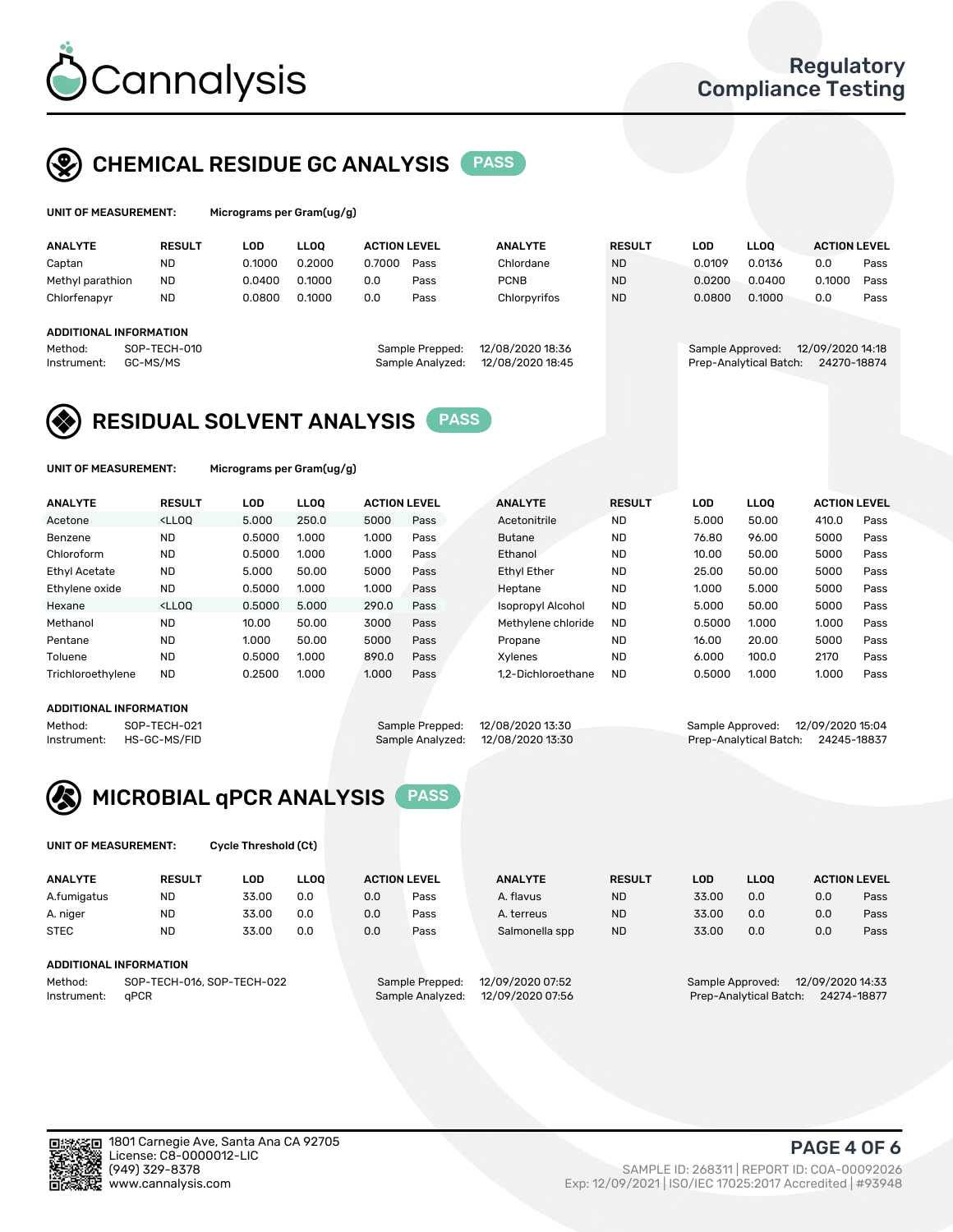

## CHEMICAL RESIDUE GC ANALYSIS PASS

| UNIT OF MEASUREMENT: | M |
|----------------------|---|
|----------------------|---|

licrograms per Gram(ug/g)

| <b>ANALYTE</b>                                     | <b>RESULT</b> | LOD    | <b>LLOO</b> | <b>ACTION LEVEL</b> |                                     | <b>ANALYTE</b>                       | <b>RESULT</b> | LOD              | <b>LLOO</b>            | <b>ACTION LEVEL</b>             |      |
|----------------------------------------------------|---------------|--------|-------------|---------------------|-------------------------------------|--------------------------------------|---------------|------------------|------------------------|---------------------------------|------|
| Captan                                             | <b>ND</b>     | 0.1000 | 0.2000      | 0.7000              | Pass                                | Chlordane                            | <b>ND</b>     | 0.0109           | 0.0136                 | 0.0                             | Pass |
| Methyl parathion                                   | <b>ND</b>     | 0.0400 | 0.1000      | 0.0                 | Pass                                | <b>PCNB</b>                          | <b>ND</b>     | 0.0200           | 0.0400                 | 0.1000                          | Pass |
| Chlorfenapyr                                       | <b>ND</b>     | 0.0800 | 0.1000      | 0.0                 | Pass                                | Chlorpyrifos                         | <b>ND</b>     | 0.0800           | 0.1000                 | 0.0                             | Pass |
| <b>ADDITIONAL INFORMATION</b>                      |               |        |             |                     |                                     |                                      |               |                  |                        |                                 |      |
| SOP-TECH-010<br>Method:<br>GC-MS/MS<br>Instrument: |               |        |             |                     | Sample Prepped:<br>Sample Analyzed: | 12/08/2020 18:36<br>12/08/2020 18:45 |               | Sample Approved: | Prep-Analytical Batch: | 12/09/2020 14:18<br>24270-18874 |      |

### RESIDUAL SOLVENT ANALYSIS PASS

UNIT OF MEASUREMENT: Micrograms per Gram(ug/g)

| <b>ANALYTE</b>       | <b>RESULT</b>                                                                                                                                                                   | <b>LOD</b> | <b>LLOO</b> | <b>ACTION LEVEL</b> |      | <b>ANALYTE</b>     | <b>RESULT</b> | LOD    | <b>LLOO</b> | <b>ACTION LEVEL</b> |      |
|----------------------|---------------------------------------------------------------------------------------------------------------------------------------------------------------------------------|------------|-------------|---------------------|------|--------------------|---------------|--------|-------------|---------------------|------|
| Acetone              | <lloo< th=""><th>5.000</th><th>250.0</th><th>5000</th><th>Pass</th><th>Acetonitrile</th><th><b>ND</b></th><th>5.000</th><th>50.00</th><th>410.0</th><th>Pass</th></lloo<>       | 5.000      | 250.0       | 5000                | Pass | Acetonitrile       | <b>ND</b>     | 5.000  | 50.00       | 410.0               | Pass |
| Benzene              | <b>ND</b>                                                                                                                                                                       | 0.5000     | 1.000       | 1.000               | Pass | <b>Butane</b>      | <b>ND</b>     | 76.80  | 96.00       | 5000                | Pass |
| Chloroform           | <b>ND</b>                                                                                                                                                                       | 0.5000     | 1.000       | 1.000               | Pass | Ethanol            | <b>ND</b>     | 10.00  | 50.00       | 5000                | Pass |
| <b>Ethyl Acetate</b> | <b>ND</b>                                                                                                                                                                       | 5.000      | 50.00       | 5000                | Pass | <b>Ethyl Ether</b> | <b>ND</b>     | 25.00  | 50.00       | 5000                | Pass |
| Ethylene oxide       | <b>ND</b>                                                                                                                                                                       | 0.5000     | 1.000       | 1.000               | Pass | Heptane            | <b>ND</b>     | 1.000  | 5.000       | 5000                | Pass |
| Hexane               | <lloo< td=""><td>0.5000</td><td>5.000</td><td>290.0</td><td>Pass</td><td>Isopropyl Alcohol</td><td><b>ND</b></td><td>5.000</td><td>50.00</td><td>5000</td><td>Pass</td></lloo<> | 0.5000     | 5.000       | 290.0               | Pass | Isopropyl Alcohol  | <b>ND</b>     | 5.000  | 50.00       | 5000                | Pass |
| Methanol             | <b>ND</b>                                                                                                                                                                       | 10.00      | 50.00       | 3000                | Pass | Methylene chloride | <b>ND</b>     | 0.5000 | 1.000       | 1.000               | Pass |
| Pentane              | <b>ND</b>                                                                                                                                                                       | 1.000      | 50.00       | 5000                | Pass | Propane            | <b>ND</b>     | 16.00  | 20.00       | 5000                | Pass |
| Toluene              | <b>ND</b>                                                                                                                                                                       | 0.5000     | 1.000       | 890.0               | Pass | <b>Xylenes</b>     | <b>ND</b>     | 6.000  | 100.0       | 2170                | Pass |
| Trichloroethylene    | <b>ND</b>                                                                                                                                                                       | 0.2500     | 1.000       | 1.000               | Pass | 1.2-Dichloroethane | <b>ND</b>     | 0.5000 | 1.000       | 1.000               | Pass |

#### ADDITIONAL INFORMATION

Method: SOP-TECH-021 Sample Prepped: 12/08/2020 13:30 Sample Approved: 12/09/2020 15:04<br>Instrument: HS-GC-MS/FID Sample Analyzed: 12/08/2020 13:30 Prep-Analytical Batch: 24245-18837 Prep-Analytical Batch: 24245-18837



UNIT OF MEASUREMENT: Cycle Threshold (Ct)

| <b>ANALYTE</b>                        | <b>RESULT</b>                 | LOD   | <b>LLOO</b> | <b>ACTION LEVEL</b> |                  | <b>ANALYTE</b> | <b>RESULT</b>    | LOD   | <b>LLOO</b>      |     | <b>ACTION LEVEL</b> |
|---------------------------------------|-------------------------------|-------|-------------|---------------------|------------------|----------------|------------------|-------|------------------|-----|---------------------|
| A.fumigatus                           | ND                            | 33.00 | 0.0         | 0.0                 | Pass             | A. flavus      | <b>ND</b>        | 33.00 | 0.0              | 0.0 | Pass                |
| A. niger                              | <b>ND</b>                     | 33.00 | 0.0         | 0.0                 | Pass             | A. terreus     | <b>ND</b>        | 33.00 | 0.0              | 0.0 | Pass                |
| <b>STEC</b>                           | <b>ND</b>                     | 33.00 | 0.0         | 0.0                 | Pass             | Salmonella spp | <b>ND</b>        | 33.00 | 0.0              | 0.0 | Pass                |
|                                       | <b>ADDITIONAL INFORMATION</b> |       |             |                     |                  |                |                  |       |                  |     |                     |
| Method:<br>SOP-TECH-016, SOP-TECH-022 |                               |       |             | Sample Prepped:     | 12/09/2020 07:52 |                | Sample Approved: |       | 12/09/2020 14:33 |     |                     |

Instrument: qPCR Sample Analyzed: 12/09/2020 07:56 Prep-Analytical Batch: 24274-18877

PAGE 4 OF 6

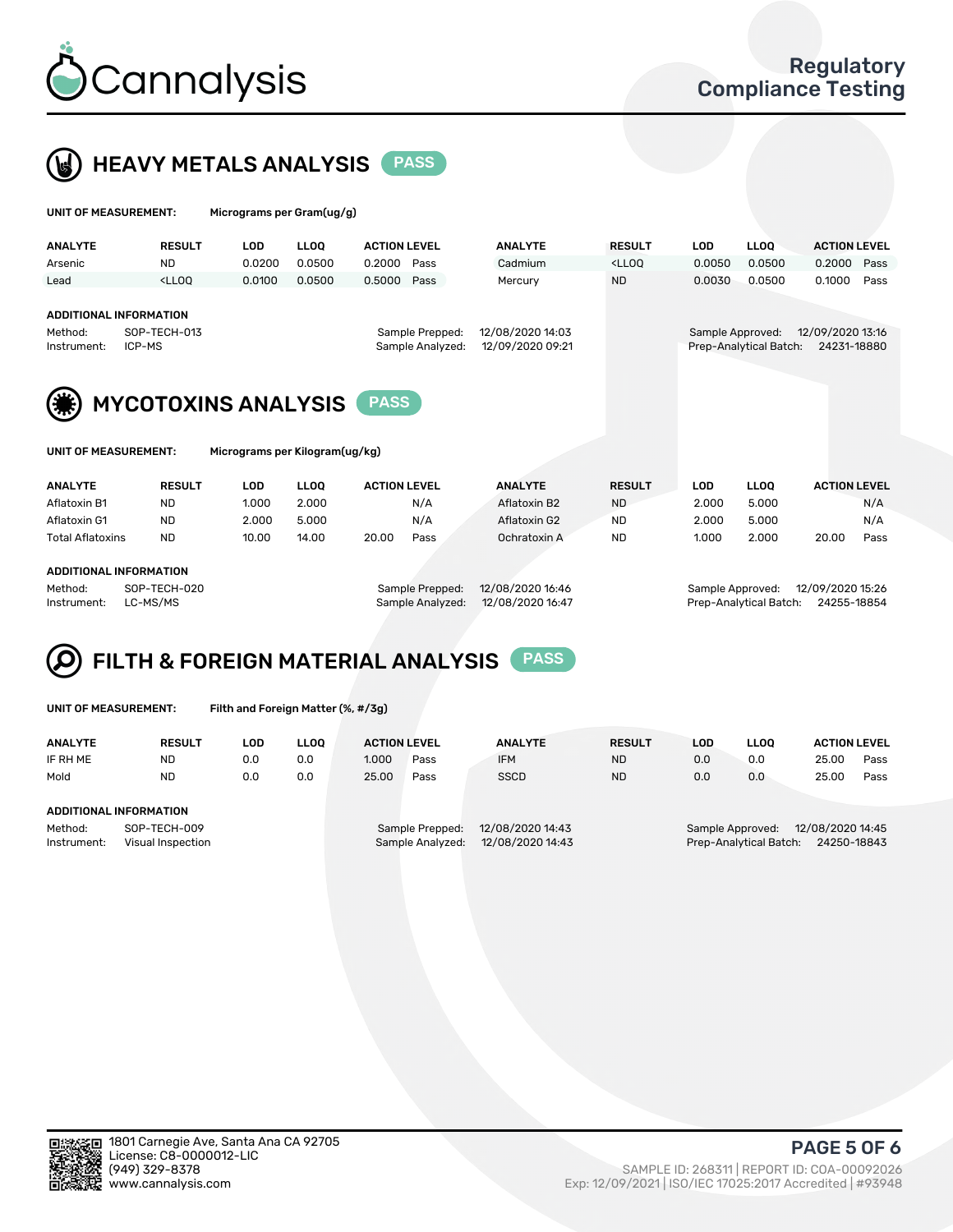

 $U$ UNIT OF MEASUREMENT: Micrograms per Gram(ug/g)



| <b>ANALYTE</b>                                                                                                                                                   | <b>RESULT</b>                                                                                                                                                                | LOD    | <b>LLOO</b> | <b>ACTION LEVEL</b> |      | <b>ANALYTE</b> | <b>RESULT</b>                                                                   | <b>LOD</b>       | <b>LLOO</b>            | <b>ACTION LEVEL</b>             |      |
|------------------------------------------------------------------------------------------------------------------------------------------------------------------|------------------------------------------------------------------------------------------------------------------------------------------------------------------------------|--------|-------------|---------------------|------|----------------|---------------------------------------------------------------------------------|------------------|------------------------|---------------------------------|------|
| Arsenic                                                                                                                                                          | <b>ND</b>                                                                                                                                                                    | 0.0200 | 0.0500      | 0.2000              | Pass | Cadmium        | <lloq< th=""><th>0.0050</th><th>0.0500</th><th>0.2000</th><th>Pass</th></lloq<> | 0.0050           | 0.0500                 | 0.2000                          | Pass |
| Lead                                                                                                                                                             | <lloo< th=""><th>0.0100</th><th>0.0500</th><th>0.5000 Pass</th><th></th><th>Mercury</th><th><b>ND</b></th><th>0.0030</th><th>0.0500</th><th>0.1000</th><th>Pass</th></lloo<> | 0.0100 | 0.0500      | 0.5000 Pass         |      | Mercury        | <b>ND</b>                                                                       | 0.0030           | 0.0500                 | 0.1000                          | Pass |
| <b>ADDITIONAL INFORMATION</b><br>12/08/2020 14:03<br>SOP-TECH-013<br>Sample Prepped:<br>Method:<br>12/09/2020 09:21<br>Sample Analyzed:<br>ICP-MS<br>Instrument: |                                                                                                                                                                              |        |             |                     |      |                |                                                                                 | Sample Approved: | Prep-Analytical Batch: | 12/09/2020 13:16<br>24231-18880 |      |
| <b>MYCOTOXINS ANALYSIS</b><br><b>PASS</b>                                                                                                                        |                                                                                                                                                                              |        |             |                     |      |                |                                                                                 |                  |                        |                                 |      |
| Micrograms per Kilogram(ug/kg)<br>UNIT OF MEASUREMENT:                                                                                                           |                                                                                                                                                                              |        |             |                     |      |                |                                                                                 |                  |                        |                                 |      |

| <b>ANALYTE</b>          | <b>RESULT</b> | LOD   | <b>LLOO</b> | <b>ACTION LEVEL</b> |      | <b>ANALYTE</b> | <b>RESULT</b> | LOD   | <b>LLOO</b> | <b>ACTION LEVEL</b> |
|-------------------------|---------------|-------|-------------|---------------------|------|----------------|---------------|-------|-------------|---------------------|
| Aflatoxin B1            | ND            | 1.000 | 2.000       |                     | N/A  | Aflatoxin B2   | <b>ND</b>     | 2.000 | 5.000       | N/A                 |
| Aflatoxin G1            | <b>ND</b>     | 2.000 | 5.000       |                     | N/A  | Aflatoxin G2   | <b>ND</b>     | 2.000 | 5.000       | N/A                 |
| <b>Total Aflatoxins</b> | <b>ND</b>     | 10.00 | 14.00       | 20.00               | Pass | Ochratoxin A   | <b>ND</b>     | 1.000 | 2.000       | 20.00<br>Pass       |
|                         |               |       |             |                     |      |                |               |       |             |                     |
| ADDITIONAL INFORMATION  |               |       |             |                     |      |                |               |       |             |                     |

#### Method: SOP-TECH-020 Sample Prepped: 12/08/2020 16:46 Sample Approved: 12/09/2020 15:26 Instrument: LC-MS/MS Sample Analyzed: 12/08/2020 16:47 Prep-Analytical Batch: 24255-18854

## FILTH & FOREIGN MATERIAL ANALYSIS PASS

|  | UNIT OF MEASUREMENT: |  |
|--|----------------------|--|
|  |                      |  |

Filth and Foreign Matter (%, #/3g)

| <b>ANALYTE</b>                   | <b>RESULT</b> | LOD | <b>LLOO</b>                         | <b>ACTION LEVEL</b> |                  | <b>ANALYTE</b>   | <b>RESULT</b>                        | LOD | <b>LLOO</b>            | <b>ACTION LEVEL</b> |      |
|----------------------------------|---------------|-----|-------------------------------------|---------------------|------------------|------------------|--------------------------------------|-----|------------------------|---------------------|------|
| IF RH ME                         | <b>ND</b>     | 0.0 | 0.0                                 | 1.000               | Pass             | <b>IFM</b>       | <b>ND</b>                            | 0.0 | 0.0                    | 25.00               | Pass |
| Mold                             | ND.           | 0.0 | 0.0                                 | 25.00               | Pass             | <b>SSCD</b>      | <b>ND</b>                            | 0.0 | 0.0                    | 25.00               | Pass |
|                                  |               |     |                                     |                     |                  |                  |                                      |     |                        |                     |      |
| ADDITIONAL INFORMATION           |               |     |                                     |                     |                  |                  |                                      |     |                        |                     |      |
| SOP-TECH-009<br>Method:          |               |     | 12/08/2020 14:43<br>Sample Prepped: |                     |                  |                  | 12/08/2020 14:45<br>Sample Approved: |     |                        |                     |      |
| Instrument:<br>Visual Inspection |               |     |                                     |                     | Sample Analyzed: | 12/08/2020 14:43 |                                      |     | Prep-Analytical Batch: | 24250-18843         |      |